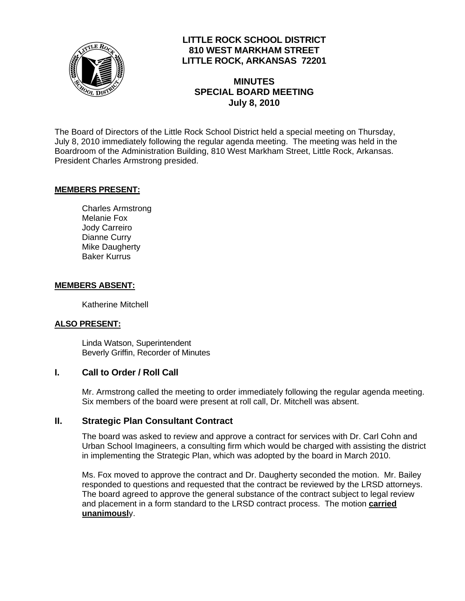

## **LITTLE ROCK SCHOOL DISTRICT 810 WEST MARKHAM STREET LITTLE ROCK, ARKANSAS 72201**

# **MINUTES SPECIAL BOARD MEETING July 8, 2010**

The Board of Directors of the Little Rock School District held a special meeting on Thursday, July 8, 2010 immediately following the regular agenda meeting. The meeting was held in the Boardroom of the Administration Building, 810 West Markham Street, Little Rock, Arkansas. President Charles Armstrong presided.

#### **MEMBERS PRESENT:**

Charles Armstrong Melanie Fox Jody Carreiro Dianne Curry Mike Daugherty Baker Kurrus

#### **MEMBERS ABSENT:**

Katherine Mitchell

### **ALSO PRESENT:**

 Linda Watson, Superintendent Beverly Griffin, Recorder of Minutes

### **I. Call to Order / Roll Call**

Mr. Armstrong called the meeting to order immediately following the regular agenda meeting. Six members of the board were present at roll call, Dr. Mitchell was absent.

### **II. Strategic Plan Consultant Contract**

The board was asked to review and approve a contract for services with Dr. Carl Cohn and Urban School Imagineers, a consulting firm which would be charged with assisting the district in implementing the Strategic Plan, which was adopted by the board in March 2010.

Ms. Fox moved to approve the contract and Dr. Daugherty seconded the motion. Mr. Bailey responded to questions and requested that the contract be reviewed by the LRSD attorneys. The board agreed to approve the general substance of the contract subject to legal review and placement in a form standard to the LRSD contract process. The motion **carried unanimousl**y.